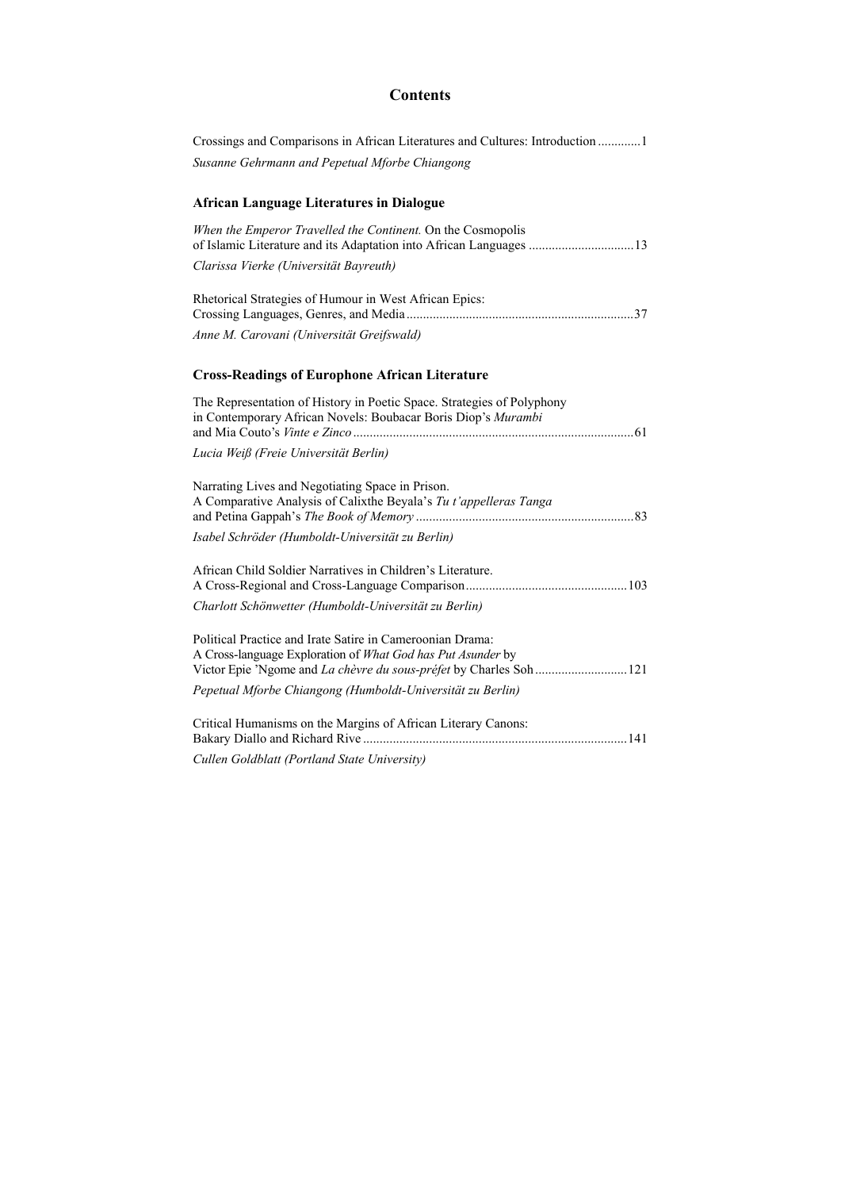## **Contents**

Crossings and Comparisons in African Literatures and Cultures: Introduction ............. 1

| Susanne Gehrmann and Pepetual Mforbe Chiangong                                                                                          |
|-----------------------------------------------------------------------------------------------------------------------------------------|
| <b>African Language Literatures in Dialogue</b>                                                                                         |
| When the Emperor Travelled the Continent. On the Cosmopolis<br>of Islamic Literature and its Adaptation into African Languages 13       |
| Clarissa Vierke (Universität Bayreuth)                                                                                                  |
| Rhetorical Strategies of Humour in West African Epics:                                                                                  |
| Anne M. Carovani (Universität Greifswald)                                                                                               |
| <b>Cross-Readings of Europhone African Literature</b>                                                                                   |
| The Representation of History in Poetic Space. Strategies of Polyphony<br>in Contemporary African Novels: Boubacar Boris Diop's Murambi |
| Lucia Weiß (Freie Universität Berlin)                                                                                                   |
| Narrating Lives and Negotiating Space in Prison.<br>A Comparative Analysis of Calixthe Beyala's Tu t'appelleras Tanga                   |
| Isabel Schröder (Humboldt-Universität zu Berlin)                                                                                        |
| African Child Soldier Narratives in Children's Literature.                                                                              |
| Charlott Schönwetter (Humboldt-Universität zu Berlin)                                                                                   |
| Political Practice and Irate Satire in Cameroonian Drama:<br>A Cross-language Exploration of What God has Put Asunder by                |
| Pepetual Mforbe Chiangong (Humboldt-Universität zu Berlin)                                                                              |
| Critical Humanisms on the Margins of African Literary Canons:                                                                           |
| Cullen Goldblatt (Portland State University)                                                                                            |